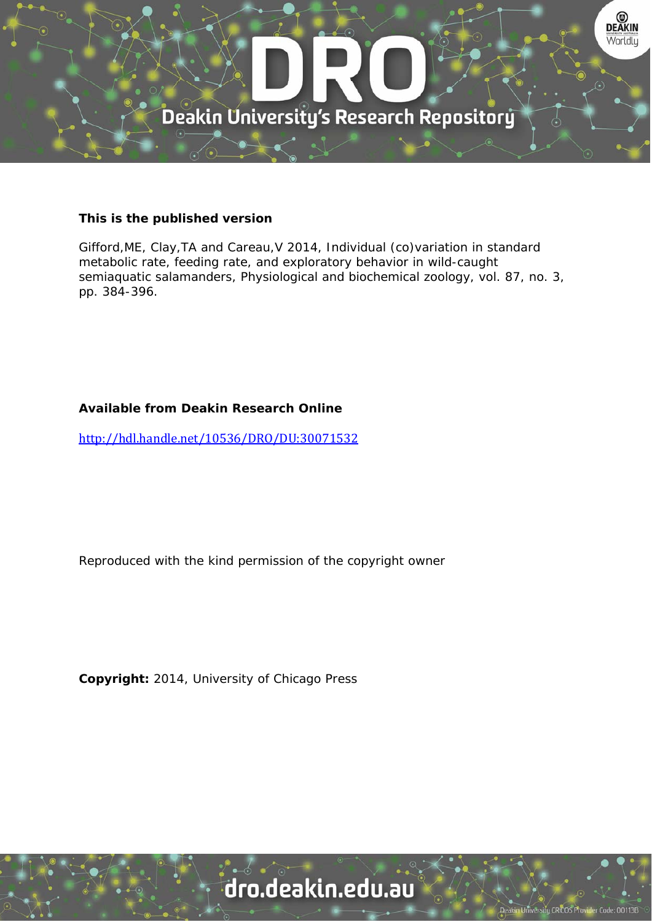

### **This is the published version**

Gifford,ME, Clay,TA and Careau,V 2014, Individual (co)variation in standard metabolic rate, feeding rate, and exploratory behavior in wild-caught semiaquatic salamanders, Physiological and biochemical zoology, vol. 87, no. 3, pp. 384-396.

### **Available from Deakin Research Online**

http://hdl.handle.net/10536/DRO/DU:30071532

Reproduced with the kind permission of the copyright owner

**Copyright:** 2014, University of Chicago Press

# dro.deakin.edu.au

**Jniversity CRICOS Pro**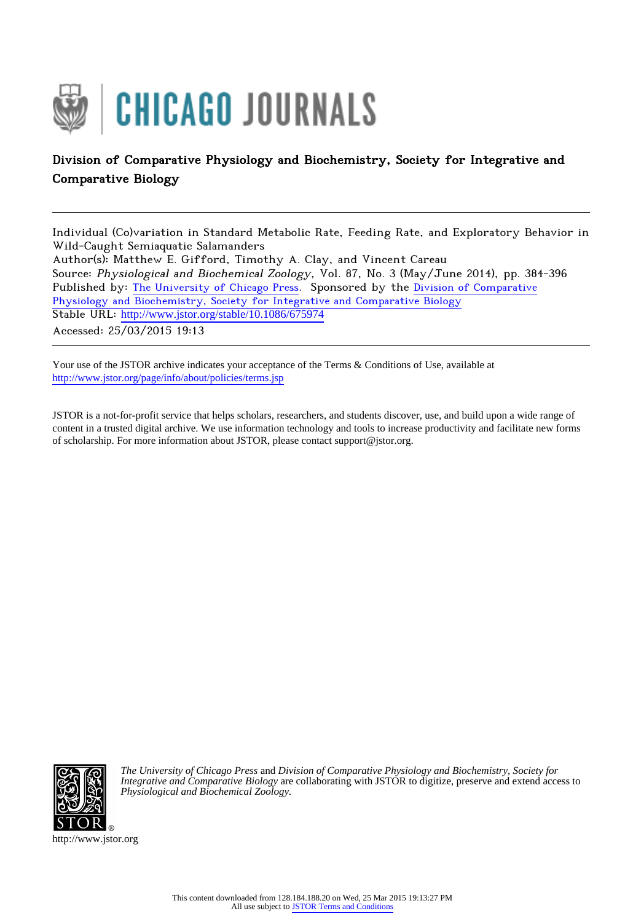

## Division of Comparative Physiology and Biochemistry, Society for Integrative and Comparative Biology

Individual (Co)variation in Standard Metabolic Rate, Feeding Rate, and Exploratory Behavior in Wild-Caught Semiaquatic Salamanders Author(s): Matthew E. Gifford, Timothy A. Clay, and Vincent Careau Source: Physiological and Biochemical Zoology, Vol. 87, No. 3 (May/June 2014), pp. 384-396 Published by: [The University of Chicago Press](http://www.jstor.org/action/showPublisher?publisherCode=ucpress). Sponsored by the [Division of Comparative](http://www.jstor.org/action/showPublisher?publisherCode=sicb) [Physiology and Biochemistry, Society for Integrative and Comparative Biology](http://www.jstor.org/action/showPublisher?publisherCode=sicb) Stable URL: http://www.jstor.org/stable/10.1086/675974 Accessed: 25/03/2015 19:13

Your use of the JSTOR archive indicates your acceptance of the Terms & Conditions of Use, available at <http://www.jstor.org/page/info/about/policies/terms.jsp>

JSTOR is a not-for-profit service that helps scholars, researchers, and students discover, use, and build upon a wide range of content in a trusted digital archive. We use information technology and tools to increase productivity and facilitate new forms of scholarship. For more information about JSTOR, please contact support@jstor.org.



*The University of Chicago Press* and *Division of Comparative Physiology and Biochemistry, Society for Integrative and Comparative Biology* are collaborating with JSTOR to digitize, preserve and extend access to *Physiological and Biochemical Zoology.*

http://www.jstor.org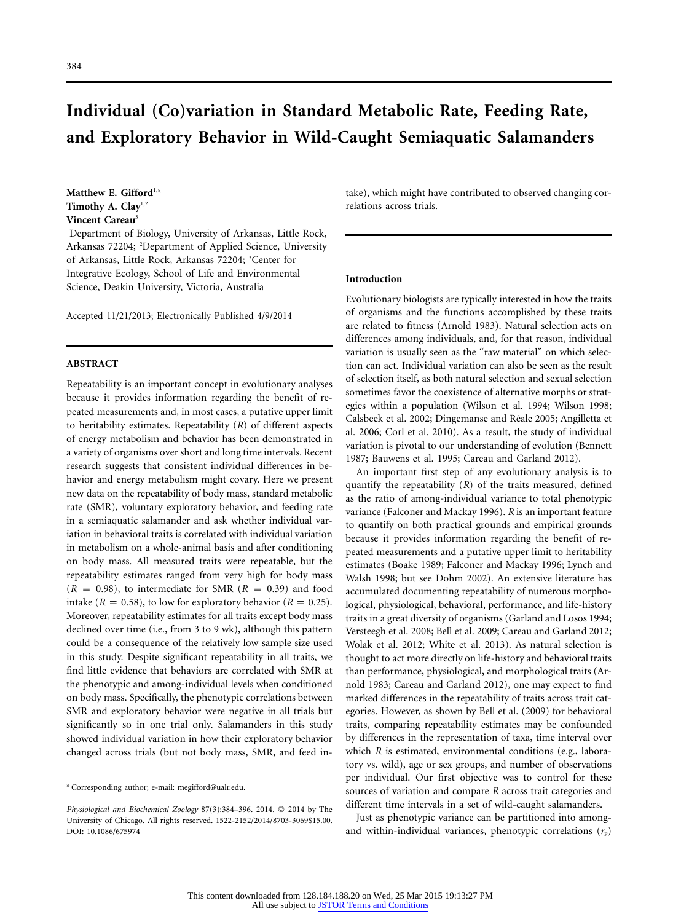# **Individual (Co)variation in Standard Metabolic Rate, Feeding Rate, and Exploratory Behavior in Wild-Caught Semiaquatic Salamanders**

Matthew E. Gifford<sup>1,\*</sup> **Timothy A. Clay**1,2 **Vincent Careau**<sup>3</sup>

1 Department of Biology, University of Arkansas, Little Rock, Arkansas 72204; <sup>2</sup> Department of Applied Science, University of Arkansas, Little Rock, Arkansas 72204; <sup>3</sup> Center for Integrative Ecology, School of Life and Environmental Science, Deakin University, Victoria, Australia

Accepted 11/21/2013; Electronically Published 4/9/2014

#### **ABSTRACT**

Repeatability is an important concept in evolutionary analyses because it provides information regarding the benefit of repeated measurements and, in most cases, a putative upper limit to heritability estimates. Repeatability (*R*) of different aspects of energy metabolism and behavior has been demonstrated in a variety of organisms over short and long time intervals. Recent research suggests that consistent individual differences in behavior and energy metabolism might covary. Here we present new data on the repeatability of body mass, standard metabolic rate (SMR), voluntary exploratory behavior, and feeding rate in a semiaquatic salamander and ask whether individual variation in behavioral traits is correlated with individual variation in metabolism on a whole-animal basis and after conditioning on body mass. All measured traits were repeatable, but the repeatability estimates ranged from very high for body mass  $(R = 0.98)$ , to intermediate for SMR  $(R = 0.39)$  and food intake ( $R = 0.58$ ), to low for exploratory behavior ( $R = 0.25$ ). Moreover, repeatability estimates for all traits except body mass declined over time (i.e., from 3 to 9 wk), although this pattern could be a consequence of the relatively low sample size used in this study. Despite significant repeatability in all traits, we find little evidence that behaviors are correlated with SMR at the phenotypic and among-individual levels when conditioned on body mass. Specifically, the phenotypic correlations between SMR and exploratory behavior were negative in all trials but significantly so in one trial only. Salamanders in this study showed individual variation in how their exploratory behavior changed across trials (but not body mass, SMR, and feed intake), which might have contributed to observed changing correlations across trials.

#### **Introduction**

Evolutionary biologists are typically interested in how the traits of organisms and the functions accomplished by these traits are related to fitness (Arnold 1983). Natural selection acts on differences among individuals, and, for that reason, individual variation is usually seen as the "raw material" on which selection can act. Individual variation can also be seen as the result of selection itself, as both natural selection and sexual selection sometimes favor the coexistence of alternative morphs or strategies within a population (Wilson et al. 1994; Wilson 1998; Calsbeek et al. 2002; Dingemanse and Réale 2005; Angilletta et al. 2006; Corl et al. 2010). As a result, the study of individual variation is pivotal to our understanding of evolution (Bennett 1987; Bauwens et al. 1995; Careau and Garland 2012).

An important first step of any evolutionary analysis is to quantify the repeatability (*R*) of the traits measured, defined as the ratio of among-individual variance to total phenotypic variance (Falconer and Mackay 1996). *R* is an important feature to quantify on both practical grounds and empirical grounds because it provides information regarding the benefit of repeated measurements and a putative upper limit to heritability estimates (Boake 1989; Falconer and Mackay 1996; Lynch and Walsh 1998; but see Dohm 2002). An extensive literature has accumulated documenting repeatability of numerous morphological, physiological, behavioral, performance, and life-history traits in a great diversity of organisms (Garland and Losos 1994; Versteegh et al. 2008; Bell et al. 2009; Careau and Garland 2012; Wolak et al. 2012; White et al. 2013). As natural selection is thought to act more directly on life-history and behavioral traits than performance, physiological, and morphological traits (Arnold 1983; Careau and Garland 2012), one may expect to find marked differences in the repeatability of traits across trait categories. However, as shown by Bell et al. (2009) for behavioral traits, comparing repeatability estimates may be confounded by differences in the representation of taxa, time interval over which *R* is estimated, environmental conditions (e.g., laboratory vs. wild), age or sex groups, and number of observations per individual. Our first objective was to control for these sources of variation and compare *R* across trait categories and different time intervals in a set of wild-caught salamanders.

Just as phenotypic variance can be partitioned into amongand within-individual variances, phenotypic correlations  $(r_p)$ 

<sup>\*</sup> Corresponding author; e-mail: [megifford@ualr.edu.](mailto:megifford@ualr.edu)

Physiological and Biochemical Zoology 87(3):384-396. 2014. © 2014 by The University of Chicago. All rights reserved. 1522-2152/2014/8703-3069\$15.00. DOI: 10.1086/675974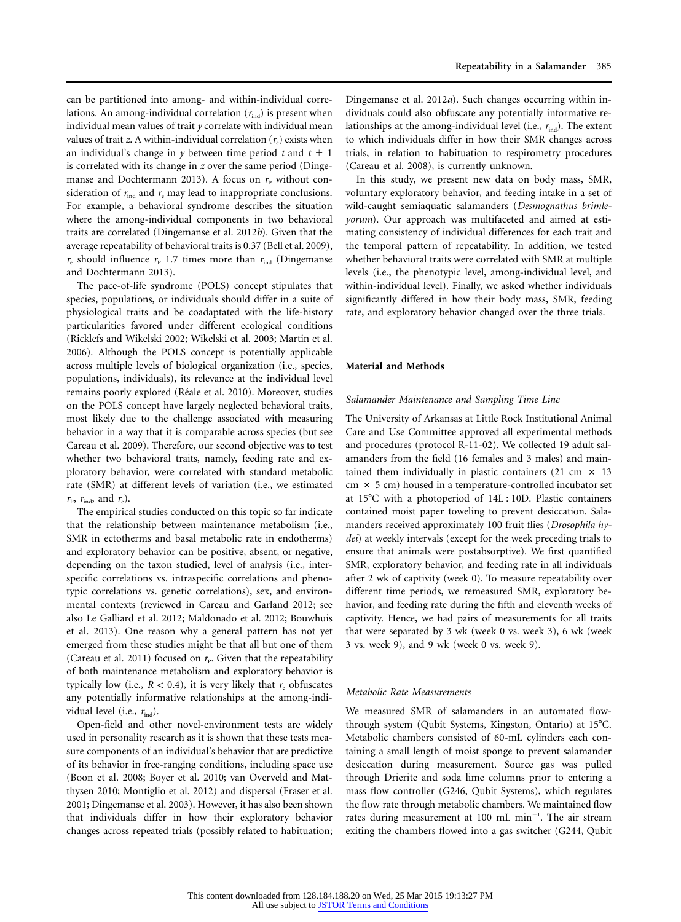can be partitioned into among- and within-individual correlations. An among-individual correlation  $(r_{ind})$  is present when individual mean values of trait *y* correlate with individual mean values of trait *z*. A within-individual correlation  $(r_e)$  exists when an individual's change in  $y$  between time period  $t$  and  $t + 1$ is correlated with its change in *z* over the same period (Dingemanse and Dochtermann 2013). A focus on  $r_{\rm P}$  without consideration of  $r_{ind}$  and  $r_{e}$  may lead to inappropriate conclusions. For example, a behavioral syndrome describes the situation where the among-individual components in two behavioral traits are correlated (Dingemanse et al. 2012*b*). Given that the average repeatability of behavioral traits is 0.37 (Bell et al. 2009),  $r_{\rm e}$  should influence  $r_{\rm p}$  1.7 times more than  $r_{\rm ind}$  (Dingemanse and Dochtermann 2013).

The pace-of-life syndrome (POLS) concept stipulates that species, populations, or individuals should differ in a suite of physiological traits and be coadaptated with the life-history particularities favored under different ecological conditions (Ricklefs and Wikelski 2002; Wikelski et al. 2003; Martin et al. 2006). Although the POLS concept is potentially applicable across multiple levels of biological organization (i.e., species, populations, individuals), its relevance at the individual level remains poorly explored (Réale et al. 2010). Moreover, studies on the POLS concept have largely neglected behavioral traits, most likely due to the challenge associated with measuring behavior in a way that it is comparable across species (but see Careau et al. 2009). Therefore, our second objective was to test whether two behavioral traits, namely, feeding rate and exploratory behavior, were correlated with standard metabolic rate (SMR) at different levels of variation (i.e., we estimated  $r_{\rm p}$ ,  $r_{\rm ind}$ , and  $r_{\rm e}$ ).

The empirical studies conducted on this topic so far indicate that the relationship between maintenance metabolism (i.e., SMR in ectotherms and basal metabolic rate in endotherms) and exploratory behavior can be positive, absent, or negative, depending on the taxon studied, level of analysis (i.e., interspecific correlations vs. intraspecific correlations and phenotypic correlations vs. genetic correlations), sex, and environmental contexts (reviewed in Careau and Garland 2012; see also Le Galliard et al. 2012; Maldonado et al. 2012; Bouwhuis et al. 2013). One reason why a general pattern has not yet emerged from these studies might be that all but one of them (Careau et al. 2011) focused on  $r_{\rm P}$ . Given that the repeatability of both maintenance metabolism and exploratory behavior is typically low (i.e.,  $R < 0.4$ ), it is very likely that  $r_e$  obfuscates any potentially informative relationships at the among-individual level (i.e.,  $r_{\text{ind}}$ ).

Open-field and other novel-environment tests are widely used in personality research as it is shown that these tests measure components of an individual's behavior that are predictive of its behavior in free-ranging conditions, including space use (Boon et al. 2008; Boyer et al. 2010; van Overveld and Matthysen 2010; Montiglio et al. 2012) and dispersal (Fraser et al. 2001; Dingemanse et al. 2003). However, it has also been shown that individuals differ in how their exploratory behavior changes across repeated trials (possibly related to habituation;

Dingemanse et al. 2012*a*). Such changes occurring within individuals could also obfuscate any potentially informative relationships at the among-individual level (i.e.,  $r_{ind}$ ). The extent to which individuals differ in how their SMR changes across trials, in relation to habituation to respirometry procedures (Careau et al. 2008), is currently unknown.

In this study, we present new data on body mass, SMR, voluntary exploratory behavior, and feeding intake in a set of wild-caught semiaquatic salamanders (*Desmognathus brimleyorum*). Our approach was multifaceted and aimed at estimating consistency of individual differences for each trait and the temporal pattern of repeatability. In addition, we tested whether behavioral traits were correlated with SMR at multiple levels (i.e., the phenotypic level, among-individual level, and within-individual level). Finally, we asked whether individuals significantly differed in how their body mass, SMR, feeding rate, and exploratory behavior changed over the three trials.

#### **Material and Methods**

#### *Salamander Maintenance and Sampling Time Line*

The University of Arkansas at Little Rock Institutional Animal Care and Use Committee approved all experimental methods and procedures (protocol R-11-02). We collected 19 adult salamanders from the field (16 females and 3 males) and maintained them individually in plastic containers (21 cm  $\times$  13  $cm \times 5$  cm) housed in a temperature-controlled incubator set at 15C with a photoperiod of 14L : 10D. Plastic containers contained moist paper toweling to prevent desiccation. Salamanders received approximately 100 fruit flies (*Drosophila hydei*) at weekly intervals (except for the week preceding trials to ensure that animals were postabsorptive). We first quantified SMR, exploratory behavior, and feeding rate in all individuals after 2 wk of captivity (week 0). To measure repeatability over different time periods, we remeasured SMR, exploratory behavior, and feeding rate during the fifth and eleventh weeks of captivity. Hence, we had pairs of measurements for all traits that were separated by 3 wk (week 0 vs. week 3), 6 wk (week 3 vs. week 9), and 9 wk (week 0 vs. week 9).

#### *Metabolic Rate Measurements*

We measured SMR of salamanders in an automated flowthrough system (Qubit Systems, Kingston, Ontario) at 15°C. Metabolic chambers consisted of 60-mL cylinders each containing a small length of moist sponge to prevent salamander desiccation during measurement. Source gas was pulled through Drierite and soda lime columns prior to entering a mass flow controller (G246, Qubit Systems), which regulates the flow rate through metabolic chambers. We maintained flow rates during measurement at 100 mL min<sup>-1</sup>. The air stream exiting the chambers flowed into a gas switcher (G244, Qubit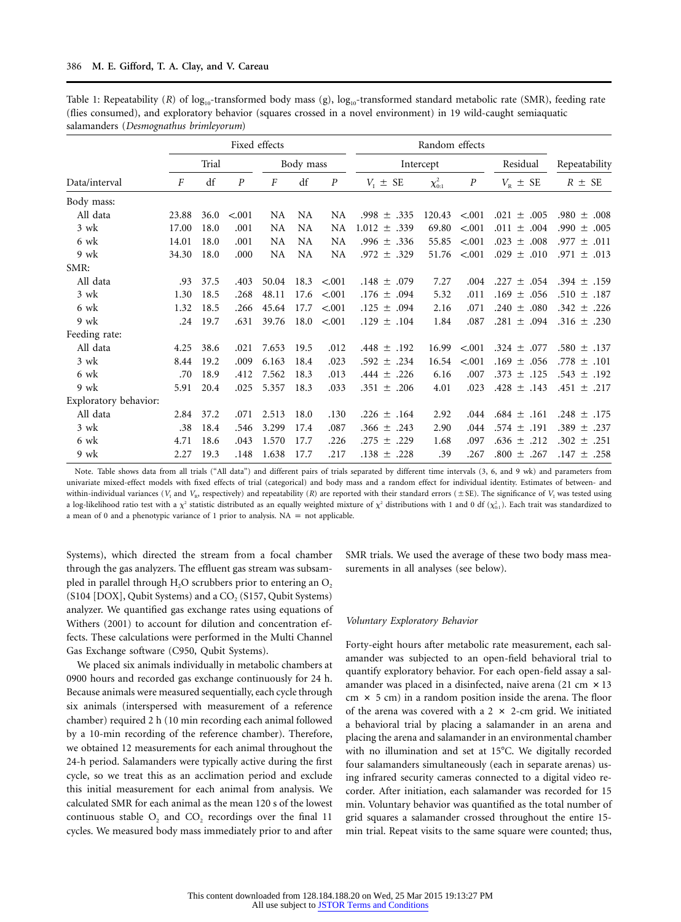|                       | Fixed effects |      |                  |           |           |                  | Random effects     |                |                  |                      |                       |
|-----------------------|---------------|------|------------------|-----------|-----------|------------------|--------------------|----------------|------------------|----------------------|-----------------------|
|                       | Trial         |      | Body mass        |           | Intercept |                  |                    | Residual       | Repeatability    |                      |                       |
| Data/interval         | F             | df   | $\boldsymbol{P}$ | F         | df        | $\boldsymbol{P}$ | $V_{I}$ $\pm$ SE   | $\chi^2_{0:1}$ | $\boldsymbol{P}$ | $V_{\rm R}$ $\pm$ SE | $R \pm SE$            |
| Body mass:            |               |      |                  |           |           |                  |                    |                |                  |                      |                       |
| All data              | 23.88         | 36.0 | < .001           | NA        | <b>NA</b> | NA               | $.998 \pm .335$    | 120.43         | < .001           | $.021 \pm .005$      | .980 $\pm$<br>.008    |
| 3 wk                  | 17.00         | 18.0 | .001             | NA        | <b>NA</b> | <b>NA</b>        | $1.012 \pm .339$   | 69.80          | < 0.01           | $.011 \pm .004$      | .990 $\pm$<br>.005    |
| 6 wk                  | 14.01         | 18.0 | .001             | <b>NA</b> | NA        | NA               | .996 $\pm$ .336    | 55.85          | < .001           | $.023 \pm .008$      | .977<br>$\pm$<br>.011 |
| 9 wk                  | 34.30         | 18.0 | .000             | NA        | <b>NA</b> | <b>NA</b>        | $.972 \pm .329$    | 51.76          | < 0.01           | $.029 \pm .010$      | .971 $\pm$<br>.013    |
| SMR:                  |               |      |                  |           |           |                  |                    |                |                  |                      |                       |
| All data              | .93           | 37.5 | .403             | 50.04     | 18.3      | < 0.01           | $.148 \pm .079$    | 7.27           | .004             | $.227 \pm .054$      | .394 $\pm$<br>.159    |
| 3 wk                  | 1.30          | 18.5 | .268             | 48.11     | 17.6      | < 0.01           | .176 $\pm$<br>.094 | 5.32           | .011             | $.169 \pm .056$      | .510 $\pm$<br>.187    |
| 6 wk                  | 1.32          | 18.5 | .266             | 45.64     | 17.7      | < 0.01           | $.125 \pm$<br>.094 | 2.16           | .071             | $.240 \pm .080$      | .342 $\pm$<br>.226    |
| 9 wk                  | .24           | 19.7 | .631             | 39.76     | 18.0      | < 0.01           | .129 $\pm$<br>.104 | 1.84           | .087             | $.281 \pm .094$      | .316 $\pm$<br>.230    |
| Feeding rate:         |               |      |                  |           |           |                  |                    |                |                  |                      |                       |
| All data              | 4.25          | 38.6 | .021             | 7.653     | 19.5      | .012             | .448 $\pm$ .192    | 16.99          | < 0.01           | $.324 \pm .077$      | .580 $\pm$<br>.137    |
| 3 wk                  | 8.44          | 19.2 | .009             | 6.163     | 18.4      | .023             | $.592 \pm .234$    | 16.54          | < .001           | $.169 \pm .056$      | .778 $\pm$<br>.101    |
| 6 wk                  | .70           | 18.9 | .412             | 7.562     | 18.3      | .013             | .226<br>$.444 \pm$ | 6.16           | .007             | $.373 \pm .125$      | .543 $\pm$<br>.192    |
| 9 wk                  | 5.91          | 20.4 | .025             | 5.357     | 18.3      | .033             | .351 $\pm$<br>.206 | 4.01           | .023             | $.428 \pm .143$      | .451 $\pm$ .217       |
| Exploratory behavior: |               |      |                  |           |           |                  |                    |                |                  |                      |                       |
| All data              | 2.84          | 37.2 | .071             | 2.513     | 18.0      | .130             | $.226 \pm .164$    | 2.92           | .044             | $.684 \pm .161$      | .248 $\pm$<br>.175    |
| 3 wk                  | .38           | 18.4 | .546             | 3.299     | 17.4      | .087             | $.366 \pm .243$    | 2.90           | .044             | $.574 \pm .191$      | .389 $\pm$<br>.237    |
| 6 wk                  | 4.71          | 18.6 | .043             | 1.570     | 17.7      | .226             | .229<br>.275 $\pm$ | 1.68           | .097             | $.636 \pm .212$      | .302 $\pm$<br>.251    |
| 9 wk                  | 2.27          | 19.3 | .148             | 1.638     | 17.7      | .217             | .138 $\pm$ .228    | .39            | .267             | $.800 \pm .267$      | $.147 \pm .258$       |

Table 1: Repeatability (*R*) of log<sub>10</sub>-transformed body mass (g), log<sub>10</sub>-transformed standard metabolic rate (SMR), feeding rate (flies consumed), and exploratory behavior (squares crossed in a novel environment) in 19 wild-caught semiaquatic salamanders (*Desmognathus brimleyorum*)

Note. Table shows data from all trials ("All data") and different pairs of trials separated by different time intervals (3, 6, and 9 wk) and parameters from univariate mixed-effect models with fixed effects of trial (categorical) and body mass and a random effect for individual identity. Estimates of between- and within-individual variances ( $V_1$  and  $V_R$ , respectively) and repeatability (*R*) are reported with their standard errors ( $\pm$ SE). The significance of  $V_1$  was tested using a log-likelihood ratio test with a  $\chi^2$  statistic distributed as an equally weighted mixture of  $\chi^2$  distributions with 1 and 0 df ( $\chi^2_{0:1}$ ). Each trait was standardized to a mean of 0 and a phenotypic variance of 1 prior to analysis.  $NA = not$  applicable.

Systems), which directed the stream from a focal chamber through the gas analyzers. The effluent gas stream was subsampled in parallel through  $H_2O$  scrubbers prior to entering an  $O_2$ (S104 [DOX], Qubit Systems) and a CO<sub>2</sub> (S157, Qubit Systems) analyzer. We quantified gas exchange rates using equations of Withers (2001) to account for dilution and concentration effects. These calculations were performed in the Multi Channel Gas Exchange software (C950, Qubit Systems).

We placed six animals individually in metabolic chambers at 0900 hours and recorded gas exchange continuously for 24 h. Because animals were measured sequentially, each cycle through six animals (interspersed with measurement of a reference chamber) required 2 h (10 min recording each animal followed by a 10-min recording of the reference chamber). Therefore, we obtained 12 measurements for each animal throughout the 24-h period. Salamanders were typically active during the first cycle, so we treat this as an acclimation period and exclude this initial measurement for each animal from analysis. We calculated SMR for each animal as the mean 120 s of the lowest continuous stable  $O_2$  and  $CO_2$  recordings over the final 11 cycles. We measured body mass immediately prior to and after

SMR trials. We used the average of these two body mass measurements in all analyses (see below).

#### *Voluntary Exploratory Behavior*

Forty-eight hours after metabolic rate measurement, each salamander was subjected to an open-field behavioral trial to quantify exploratory behavior. For each open-field assay a salamander was placed in a disinfected, naive arena (21 cm  $\times$  13  $cm \times 5$  cm) in a random position inside the arena. The floor of the arena was covered with a  $2 \times 2$ -cm grid. We initiated a behavioral trial by placing a salamander in an arena and placing the arena and salamander in an environmental chamber with no illumination and set at 15°C. We digitally recorded four salamanders simultaneously (each in separate arenas) using infrared security cameras connected to a digital video recorder. After initiation, each salamander was recorded for 15 min. Voluntary behavior was quantified as the total number of grid squares a salamander crossed throughout the entire 15 min trial. Repeat visits to the same square were counted; thus,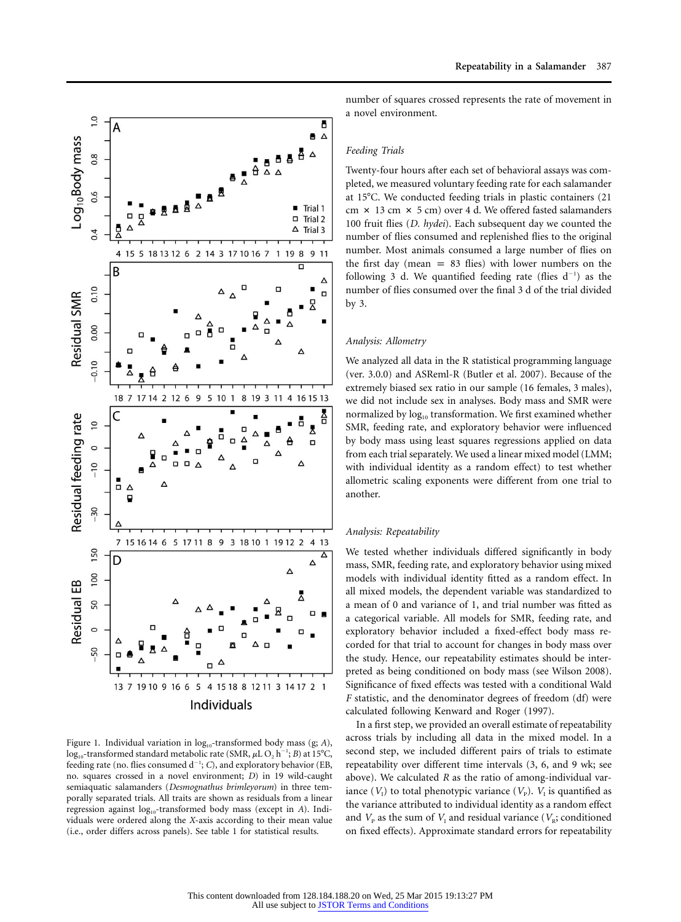

Figure 1. Individual variation in log<sub>10</sub>-transformed body mass (g; A),  $\log_{10}$ -transformed standard metabolic rate (SMR,  $\mu$ L $O_2$  h<sup>-1</sup>; *B*) at 15°C, feeding rate (no. flies consumed d<sup>-1</sup>; C), and exploratory behavior (EB, no. squares crossed in a novel environment; *D*) in 19 wild-caught semiaquatic salamanders (*Desmognathus brimleyorum*) in three temporally separated trials. All traits are shown as residuals from a linear regression against  $log_{10}$ -transformed body mass (except in *A*). Individuals were ordered along the *X*-axis according to their mean value (i.e., order differs across panels). See table 1 for statistical results.

number of squares crossed represents the rate of movement in a novel environment.

#### *Feeding Trials*

Twenty-four hours after each set of behavioral assays was completed, we measured voluntary feeding rate for each salamander at  $15^{\circ}$ C. We conducted feeding trials in plastic containers (21) cm  $\times$  13 cm  $\times$  5 cm) over 4 d. We offered fasted salamanders 100 fruit flies (*D. hydei*). Each subsequent day we counted the number of flies consumed and replenished flies to the original number. Most animals consumed a large number of flies on the first day (mean  $= 83$  flies) with lower numbers on the following 3 d. We quantified feeding rate (flies  $d^{-1}$ ) as the number of flies consumed over the final 3 d of the trial divided by 3.

#### *Analysis: Allometry*

We analyzed all data in the R statistical programming language (ver. 3.0.0) and ASReml-R (Butler et al. 2007). Because of the extremely biased sex ratio in our sample (16 females, 3 males), we did not include sex in analyses. Body mass and SMR were normalized by  $log_{10}$  transformation. We first examined whether SMR, feeding rate, and exploratory behavior were influenced by body mass using least squares regressions applied on data from each trial separately. We used a linear mixed model (LMM; with individual identity as a random effect) to test whether allometric scaling exponents were different from one trial to another.

#### *Analysis: Repeatability*

We tested whether individuals differed significantly in body mass, SMR, feeding rate, and exploratory behavior using mixed models with individual identity fitted as a random effect. In all mixed models, the dependent variable was standardized to a mean of 0 and variance of 1, and trial number was fitted as a categorical variable. All models for SMR, feeding rate, and exploratory behavior included a fixed-effect body mass recorded for that trial to account for changes in body mass over the study. Hence, our repeatability estimates should be interpreted as being conditioned on body mass (see Wilson 2008). Significance of fixed effects was tested with a conditional Wald *F* statistic, and the denominator degrees of freedom (df) were calculated following Kenward and Roger (1997).

In a first step, we provided an overall estimate of repeatability across trials by including all data in the mixed model. In a second step, we included different pairs of trials to estimate repeatability over different time intervals (3, 6, and 9 wk; see above). We calculated *R* as the ratio of among-individual variance  $(V_1)$  to total phenotypic variance  $(V_p)$ .  $V_1$  is quantified as the variance attributed to individual identity as a random effect and  $V_{\rm P}$  as the sum of  $V_{\rm I}$  and residual variance ( $V_{\rm R}$ ; conditioned on fixed effects). Approximate standard errors for repeatability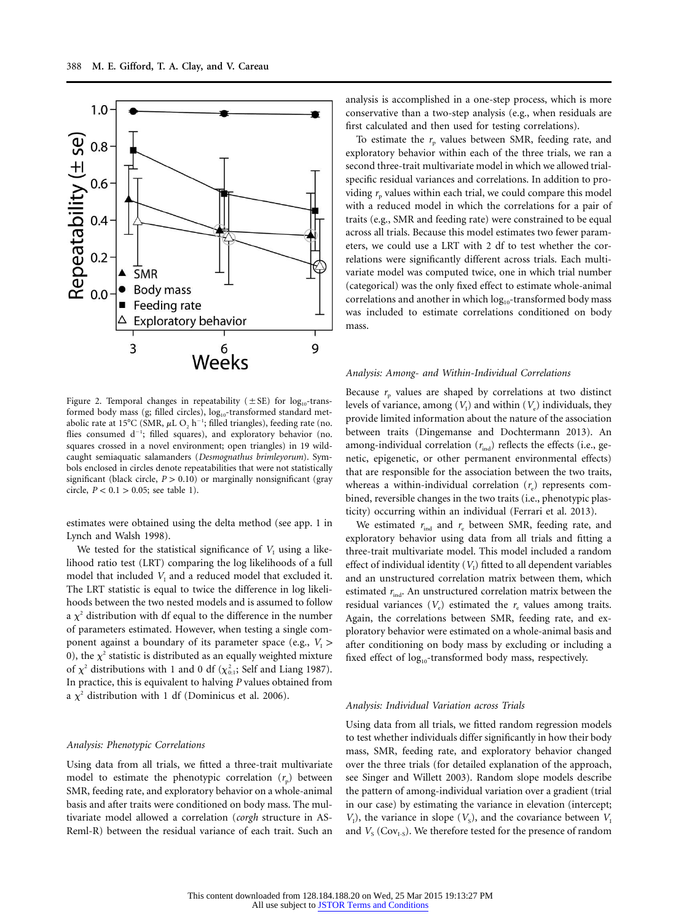

Figure 2. Temporal changes in repeatability ( $\pm$  SE) for log<sub>10</sub>-transformed body mass (g; filled circles), log<sub>10</sub>-transformed standard metabolic rate at 15°C (SMR,  $\mu$ L O<sub>2</sub> h<sup>-1</sup>; filled triangles), feeding rate (no. flies consumed  $d^{-1}$ ; filled squares), and exploratory behavior (no. squares crossed in a novel environment; open triangles) in 19 wildcaught semiaquatic salamanders (*Desmognathus brimleyorum*). Symbols enclosed in circles denote repeatabilities that were not statistically significant (black circle,  $P > 0.10$ ) or marginally nonsignificant (gray circle,  $P < 0.1 > 0.05$ ; see table 1).

estimates were obtained using the delta method (see app. 1 in Lynch and Walsh 1998).

We tested for the statistical significance of  $V<sub>I</sub>$  using a likelihood ratio test (LRT) comparing the log likelihoods of a full model that included  $V<sub>I</sub>$  and a reduced model that excluded it. The LRT statistic is equal to twice the difference in log likelihoods between the two nested models and is assumed to follow a  $\chi^2$  distribution with df equal to the difference in the number of parameters estimated. However, when testing a single component against a boundary of its parameter space (e.g.,  $V_1$ ) 0), the  $\chi^2$  statistic is distributed as an equally weighted mixture of  $\chi^2$  distributions with 1 and 0 df ( $\chi^2_{0:1}$ ; Self and Liang 1987). In practice, this is equivalent to halving *P* values obtained from a  $\chi^2$  distribution with 1 df (Dominicus et al. 2006).

#### *Analysis: Phenotypic Correlations*

Using data from all trials, we fitted a three-trait multivariate model to estimate the phenotypic correlation  $(r_p)$  between SMR, feeding rate, and exploratory behavior on a whole-animal basis and after traits were conditioned on body mass. The multivariate model allowed a correlation (*corgh* structure in AS-Reml-R) between the residual variance of each trait. Such an

analysis is accomplished in a one-step process, which is more conservative than a two-step analysis (e.g., when residuals are first calculated and then used for testing correlations).

To estimate the  $r_p$  values between SMR, feeding rate, and exploratory behavior within each of the three trials, we ran a second three-trait multivariate model in which we allowed trialspecific residual variances and correlations. In addition to providing  $r_p$  values within each trial, we could compare this model with a reduced model in which the correlations for a pair of traits (e.g., SMR and feeding rate) were constrained to be equal across all trials. Because this model estimates two fewer parameters, we could use a LRT with 2 df to test whether the correlations were significantly different across trials. Each multivariate model was computed twice, one in which trial number (categorical) was the only fixed effect to estimate whole-animal correlations and another in which  $log_{10}$ -transformed body mass was included to estimate correlations conditioned on body mass.

#### *Analysis: Among- and Within-Individual Correlations*

Because  $r_p$  values are shaped by correlations at two distinct levels of variance, among  $(V_{\rm I})$  and within  $(V_{\rm e})$  individuals, they provide limited information about the nature of the association between traits (Dingemanse and Dochtermann 2013). An among-individual correlation  $(r_{ind})$  reflects the effects (i.e., genetic, epigenetic, or other permanent environmental effects) that are responsible for the association between the two traits, whereas a within-individual correlation  $(r_e)$  represents combined, reversible changes in the two traits (i.e., phenotypic plasticity) occurring within an individual (Ferrari et al. 2013).

We estimated  $r_{ind}$  and  $r_e$  between SMR, feeding rate, and exploratory behavior using data from all trials and fitting a three-trait multivariate model. This model included a random effect of individual identity  $(V_1)$  fitted to all dependent variables and an unstructured correlation matrix between them, which estimated  $r_{\text{ind}}$ . An unstructured correlation matrix between the residual variances  $(V_e)$  estimated the  $r_e$  values among traits. Again, the correlations between SMR, feeding rate, and exploratory behavior were estimated on a whole-animal basis and after conditioning on body mass by excluding or including a fixed effect of log<sub>10</sub>-transformed body mass, respectively.

#### *Analysis: Individual Variation across Trials*

Using data from all trials, we fitted random regression models to test whether individuals differ significantly in how their body mass, SMR, feeding rate, and exploratory behavior changed over the three trials (for detailed explanation of the approach, see Singer and Willett 2003). Random slope models describe the pattern of among-individual variation over a gradient (trial in our case) by estimating the variance in elevation (intercept;  $V_1$ ), the variance in slope ( $V_s$ ), and the covariance between  $V_1$ and  $V_s$  (Cov<sub>I-S</sub>). We therefore tested for the presence of random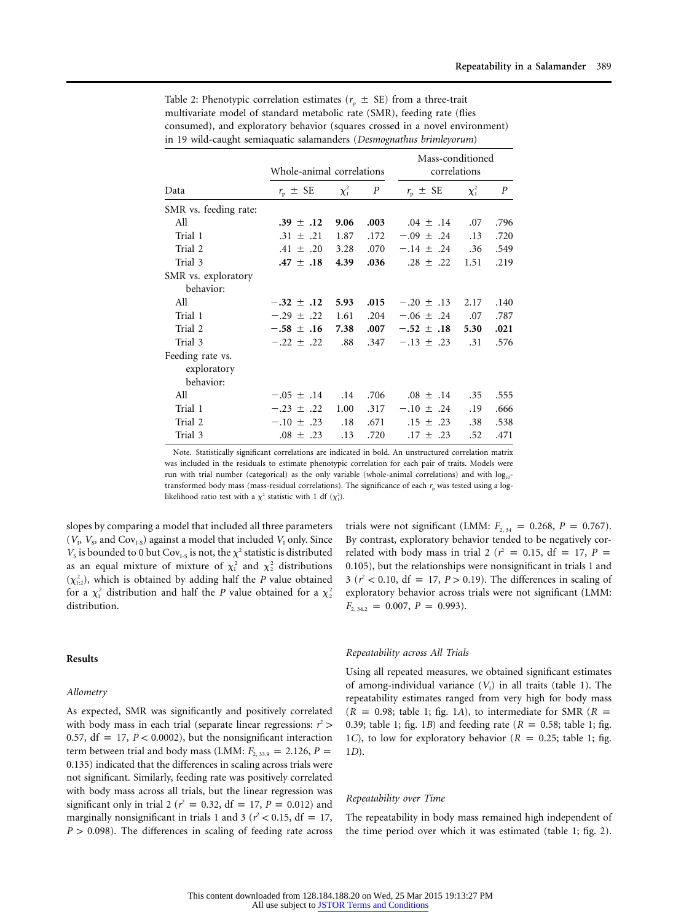|                       | Whole-animal correlations |            |                  | Mass-conditioned<br>correlations |            |                  |  |
|-----------------------|---------------------------|------------|------------------|----------------------------------|------------|------------------|--|
| Data                  | $r_{\rm p}$ $\pm$ SE      | $\chi_1^2$ | $\boldsymbol{P}$ | $r_{\rm p} \pm \text{SE}$        | $\chi_1^2$ | $\boldsymbol{P}$ |  |
| SMR vs. feeding rate: |                           |            |                  |                                  |            |                  |  |
| All                   | .39 $\pm$ .12             | 9.06       | .003             | $.04 \pm .14$                    | .07        | .796             |  |
| Trial 1               | $.31 \pm .21$             | 1.87       | .172             | $-.09 \pm .24$                   | .13        | .720             |  |
| Trial 2               | $.41 \pm .20$             | 3.28       | .070             | $-.14 \pm .24$                   | .36        | .549             |  |
| Trial 3               | $.47 \pm .18$             | 4.39       | .036             | $.28 \pm .22$                    | 1.51       | .219             |  |
| SMR vs. exploratory   |                           |            |                  |                                  |            |                  |  |
| behavior:             |                           |            |                  |                                  |            |                  |  |
| All                   | $-.32 \pm .12$            | 5.93       | .015             | $-.20 \pm .13$                   | 2.17       | .140             |  |
| Trial 1               | $-.29 \pm .22$            | 1.61       | .204             | $-.06 \pm .24$                   | .07        | .787             |  |
| Trial 2               | $-.58 \pm .16$            | 7.38       | .007             | $-.52 \pm .18$                   | 5.30       | .021             |  |
| Trial 3               | $-.22 \pm .22$            | .88        | .347             | $-.13 \pm .23$                   | .31        | .576             |  |
| Feeding rate vs.      |                           |            |                  |                                  |            |                  |  |
| exploratory           |                           |            |                  |                                  |            |                  |  |
| behavior:             |                           |            |                  |                                  |            |                  |  |
| All                   | $-.05 \pm .14$            | .14        | .706             | $.08 \pm .14$                    | .35        | .555             |  |
| Trial 1               | $-.23 \pm .22$            | 1.00       | .317             | $-.10 \pm .24$                   | .19        | .666             |  |
| Trial 2               | $-.10 \pm .23$            | .18        | .671             | $.15 \pm .23$                    | .38        | .538             |  |
| Trial 3               | $.08 \pm .23$             | .13        | .720             | $.17 \pm .23$                    | .52        | .471             |  |

Table 2: Phenotypic correlation estimates ( $r_p \pm SE$ ) from a three-trait multivariate model of standard metabolic rate (SMR), feeding rate (flies consumed), and exploratory behavior (squares crossed in a novel environment) in 19 wild-caught semiaquatic salamanders (*Desmognathus brimleyorum*)

Note. Statistically significant correlations are indicated in bold. An unstructured correlation matrix was included in the residuals to estimate phenotypic correlation for each pair of traits. Models were run with trial number (categorical) as the only variable (whole-animal correlations) and with  $log_{10}$ transformed body mass (mass-residual correlations). The significance of each  $r_p$  was tested using a loglikelihood ratio test with a  $\chi^2$  statistic with 1 df  $(\chi_1^2)$ .

slopes by comparing a model that included all three parameters  $(V_{\rm p}, V_{\rm s}$ , and  $\rm Cov_{I \rm s}$ ) against a model that included  $V_{\rm I}$  only. Since  $V<sub>S</sub>$  is bounded to 0 but Cov<sub>I-S</sub> is not, the  $\chi^2$  statistic is distributed as an equal mixture of mixture of  $\chi_1^2$  and  $\chi_2^2$  distributions  $(\chi^2_{1:2})$ , which is obtained by adding half the *P* value obtained for a  $\chi_1^2$  distribution and half the *P* value obtained for a  $\chi_2^2$ distribution.

#### **Results**

#### *Allometry*

As expected, SMR was significantly and positively correlated with body mass in each trial (separate linear regressions:  $r^2$  > 0.57,  $df = 17$ ,  $P < 0.0002$ ), but the nonsignificant interaction term between trial and body mass (LMM:  $F_{2, 33.9} = 2.126$ ,  $P =$ 0.135) indicated that the differences in scaling across trials were not significant. Similarly, feeding rate was positively correlated with body mass across all trials, but the linear regression was significant only in trial 2 ( $r^2 = 0.32$ , df = 17, *P* = 0.012) and marginally nonsignificant in trials 1 and 3 ( $r^2$  < 0.15, df = 17,  $P > 0.098$ ). The differences in scaling of feeding rate across trials were not significant (LMM:  $F_{2,34} = 0.268$ ,  $P = 0.767$ ). By contrast, exploratory behavior tended to be negatively correlated with body mass in trial 2 ( $r^2 = 0.15$ , df = 17, *P* = 0.105), but the relationships were nonsignificant in trials 1 and 3 ( $r^2$  < 0.10, df = 17, *P* > 0.19). The differences in scaling of exploratory behavior across trials were not significant (LMM:  $F_{2, 34.2} = 0.007, P = 0.993$ .

#### *Repeatability across All Trials*

Using all repeated measures, we obtained significant estimates of among-individual variance  $(V<sub>I</sub>)$  in all traits (table 1). The repeatability estimates ranged from very high for body mass  $(R = 0.98;$  table 1; fig. 1*A*), to intermediate for SMR ( $R =$ 0.39; table 1; fig. 1*B*) and feeding rate ( $R = 0.58$ ; table 1; fig. 1*C*), to low for exploratory behavior ( $R = 0.25$ ; table 1; fig. 1*D*).

#### *Repeatability over Time*

The repeatability in body mass remained high independent of the time period over which it was estimated (table 1; fig. 2).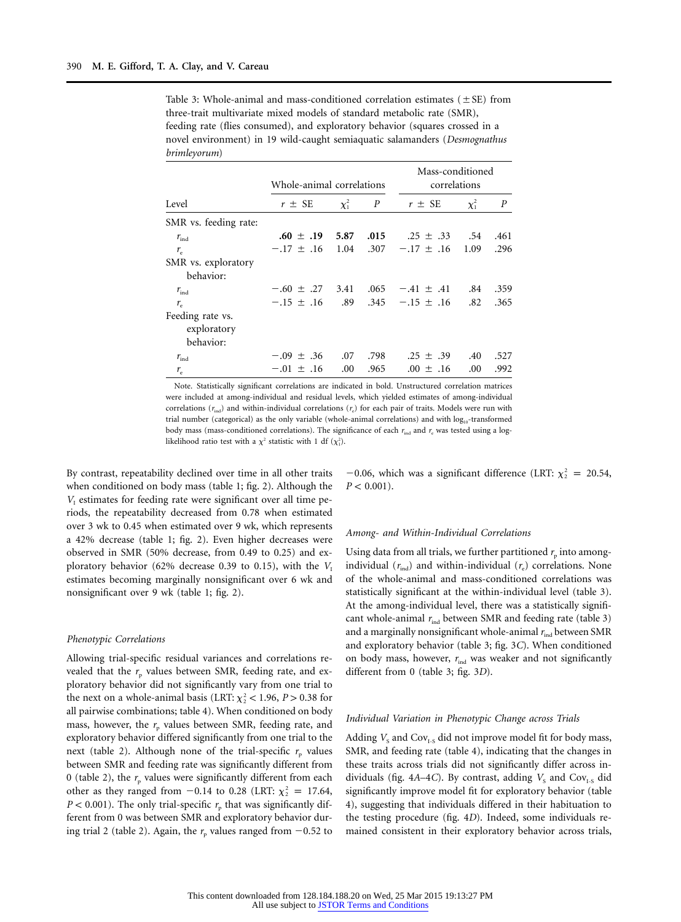| Table 3: Whole-animal and mass-conditioned correlation estimates ( $\pm$ SE) from |
|-----------------------------------------------------------------------------------|
| three-trait multivariate mixed models of standard metabolic rate (SMR),           |
| feeding rate (flies consumed), and exploratory behavior (squares crossed in a     |
| novel environment) in 19 wild-caught semiaquatic salamanders (Desmognathus        |
| brimleyorum)                                                                      |

|                                 | Whole-animal correlations |            | Mass-conditioned<br>correlations |                |            |                  |
|---------------------------------|---------------------------|------------|----------------------------------|----------------|------------|------------------|
| Level                           | $r \pm SE$                | $\chi_1^2$ | $\boldsymbol{P}$                 | $r \pm SE$     | $\chi_1^2$ | $\boldsymbol{P}$ |
| SMR vs. feeding rate:           |                           |            |                                  |                |            |                  |
| $r_{\rm ind}$                   | $.60 \pm .19$ 5.87 .015   |            |                                  | $.25 \pm .33$  | .54        | .461             |
| $r_{\rm e}$                     | $-.17 \pm .16$            | 1.04       | .307                             | $-.17 \pm .16$ | 1.09       | .296             |
| SMR vs. exploratory             |                           |            |                                  |                |            |                  |
| behavior:                       |                           |            |                                  |                |            |                  |
| $r_{\rm ind}$                   | $-.60 \pm .27 \pm .3.41$  |            | .065                             | $-.41 \pm .41$ | .84        | .359             |
| $r_{\rm e}$                     | $-.15 \pm .16$            | .89        | .345                             | $-.15 \pm .16$ | .82        | .365             |
| Feeding rate vs.<br>exploratory |                           |            |                                  |                |            |                  |
| behavior:                       |                           |            |                                  |                |            |                  |
| $r_{\rm ind}$                   | $-.09 \pm .36$            | .07        | .798                             | $.25 \pm .39$  | .40        | .527             |
| $r_{\rm e}$                     | $-.01 \pm .16$            | .00.       | .965                             | $.00 \pm .16$  | .00        | .992             |

Note. Statistically significant correlations are indicated in bold. Unstructured correlation matrices were included at among-individual and residual levels, which yielded estimates of among-individual correlations ( $r_{ind}$ ) and within-individual correlations ( $r_e$ ) for each pair of traits. Models were run with trial number (categorical) as the only variable (whole-animal correlations) and with  $log_{10}$ -transformed body mass (mass-conditioned correlations). The significance of each  $r_{ind}$  and  $r_{e}$  was tested using a loglikelihood ratio test with a  $\chi^2$  statistic with 1 df  $(\chi_1^2)$ .

By contrast, repeatability declined over time in all other traits when conditioned on body mass (table 1; fig. 2). Although the  $V<sub>1</sub>$  estimates for feeding rate were significant over all time periods, the repeatability decreased from 0.78 when estimated over 3 wk to 0.45 when estimated over 9 wk, which represents a 42% decrease (table 1; fig. 2). Even higher decreases were observed in SMR (50% decrease, from 0.49 to 0.25) and exploratory behavior (62% decrease 0.39 to 0.15), with the  $V_1$ estimates becoming marginally nonsignificant over 6 wk and nonsignificant over 9 wk (table 1; fig. 2).

#### *Phenotypic Correlations*

Allowing trial-specific residual variances and correlations revealed that the  $r_p$  values between SMR, feeding rate, and exploratory behavior did not significantly vary from one trial to the next on a whole-animal basis (LRT:  $\chi^2$  < 1.96, *P* > 0.38 for all pairwise combinations; table 4). When conditioned on body mass, however, the  $r_{p}$  values between SMR, feeding rate, and exploratory behavior differed significantly from one trial to the next (table 2). Although none of the trial-specific  $r_p$  values between SMR and feeding rate was significantly different from 0 (table 2), the  $r_{\rm p}$  values were significantly different from each other as they ranged from  $-0.14$  to 0.28 (LRT:  $\chi^2$  = 17.64,  $P < 0.001$ ). The only trial-specific  $r<sub>p</sub>$  that was significantly different from 0 was between SMR and exploratory behavior during trial 2 (table 2). Again, the  $r<sub>p</sub>$  values ranged from  $-0.52$  to

-0.06, which was a significant difference (LRT:  $\chi^2$  = 20.54,  $P < 0.001$ ).

#### *Among- and Within-Individual Correlations*

Using data from all trials, we further partitioned  $r_p$  into amongindividual  $(r_{ind})$  and within-individual  $(r_e)$  correlations. None of the whole-animal and mass-conditioned correlations was statistically significant at the within-individual level (table 3). At the among-individual level, there was a statistically significant whole-animal  $r_{ind}$  between SMR and feeding rate (table 3) and a marginally nonsignificant whole-animal  $r_{ind}$  between SMR and exploratory behavior (table 3; fig. 3*C*). When conditioned on body mass, however,  $r_{ind}$  was weaker and not significantly different from 0 (table 3; fig. 3*D*).

#### *Individual Variation in Phenotypic Change across Trials*

Adding  $V_s$  and Cov<sub>I-S</sub> did not improve model fit for body mass, SMR, and feeding rate (table 4), indicating that the changes in these traits across trials did not significantly differ across individuals (fig.  $4A-4C$ ). By contrast, adding  $V_s$  and Cov<sub>I-S</sub> did significantly improve model fit for exploratory behavior (table 4), suggesting that individuals differed in their habituation to the testing procedure (fig. 4*D*). Indeed, some individuals remained consistent in their exploratory behavior across trials,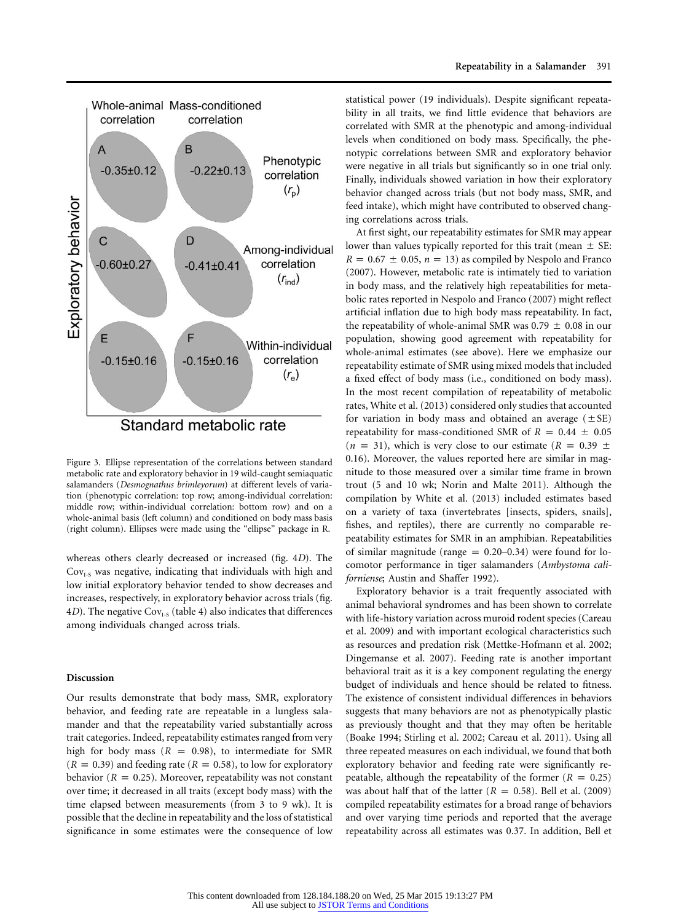

Figure 3. Ellipse representation of the correlations between standard metabolic rate and exploratory behavior in 19 wild-caught semiaquatic salamanders (*Desmognathus brimleyorum*) at different levels of variation (phenotypic correlation: top row; among-individual correlation: middle row; within-individual correlation: bottom row) and on a whole-animal basis (left column) and conditioned on body mass basis (right column). Ellipses were made using the "ellipse" package in R.

whereas others clearly decreased or increased (fig. 4*D*). The  $Cov<sub>I-S</sub>$  was negative, indicating that individuals with high and low initial exploratory behavior tended to show decreases and increases, respectively, in exploratory behavior across trials (fig. 4*D*). The negative  $Cov_{1.5}$  (table 4) also indicates that differences among individuals changed across trials.

#### **Discussion**

Our results demonstrate that body mass, SMR, exploratory behavior, and feeding rate are repeatable in a lungless salamander and that the repeatability varied substantially across trait categories. Indeed, repeatability estimates ranged from very high for body mass ( $R = 0.98$ ), to intermediate for SMR  $(R = 0.39)$  and feeding rate  $(R = 0.58)$ , to low for exploratory behavior ( $R = 0.25$ ). Moreover, repeatability was not constant over time; it decreased in all traits (except body mass) with the time elapsed between measurements (from 3 to 9 wk). It is possible that the decline in repeatability and the loss of statistical significance in some estimates were the consequence of low statistical power (19 individuals). Despite significant repeatability in all traits, we find little evidence that behaviors are correlated with SMR at the phenotypic and among-individual levels when conditioned on body mass. Specifically, the phenotypic correlations between SMR and exploratory behavior were negative in all trials but significantly so in one trial only. Finally, individuals showed variation in how their exploratory behavior changed across trials (but not body mass, SMR, and feed intake), which might have contributed to observed changing correlations across trials.

At first sight, our repeatability estimates for SMR may appear lower than values typically reported for this trait (mean  $\pm$  SE:  $R = 0.67 \pm 0.05$ ,  $n = 13$ ) as compiled by Nespolo and Franco (2007). However, metabolic rate is intimately tied to variation in body mass, and the relatively high repeatabilities for metabolic rates reported in Nespolo and Franco (2007) might reflect artificial inflation due to high body mass repeatability. In fact, the repeatability of whole-animal SMR was  $0.79 \pm 0.08$  in our population, showing good agreement with repeatability for whole-animal estimates (see above). Here we emphasize our repeatability estimate of SMR using mixed models that included a fixed effect of body mass (i.e., conditioned on body mass). In the most recent compilation of repeatability of metabolic rates, White et al. (2013) considered only studies that accounted for variation in body mass and obtained an average  $(\pm SE)$ repeatability for mass-conditioned SMR of  $R = 0.44 \pm 0.05$  $(n = 31)$ , which is very close to our estimate  $(R = 0.39 \pm 1)$ 0.16). Moreover, the values reported here are similar in magnitude to those measured over a similar time frame in brown trout (5 and 10 wk; Norin and Malte 2011). Although the compilation by White et al. (2013) included estimates based on a variety of taxa (invertebrates [insects, spiders, snails], fishes, and reptiles), there are currently no comparable repeatability estimates for SMR in an amphibian. Repeatabilities of similar magnitude (range  $= 0.20-0.34$ ) were found for locomotor performance in tiger salamanders (*Ambystoma californiense*; Austin and Shaffer 1992).

Exploratory behavior is a trait frequently associated with animal behavioral syndromes and has been shown to correlate with life-history variation across muroid rodent species (Careau et al. 2009) and with important ecological characteristics such as resources and predation risk (Mettke-Hofmann et al. 2002; Dingemanse et al. 2007). Feeding rate is another important behavioral trait as it is a key component regulating the energy budget of individuals and hence should be related to fitness. The existence of consistent individual differences in behaviors suggests that many behaviors are not as phenotypically plastic as previously thought and that they may often be heritable (Boake 1994; Stirling et al. 2002; Careau et al. 2011). Using all three repeated measures on each individual, we found that both exploratory behavior and feeding rate were significantly repeatable, although the repeatability of the former  $(R = 0.25)$ was about half that of the latter  $(R = 0.58)$ . Bell et al. (2009) compiled repeatability estimates for a broad range of behaviors and over varying time periods and reported that the average repeatability across all estimates was 0.37. In addition, Bell et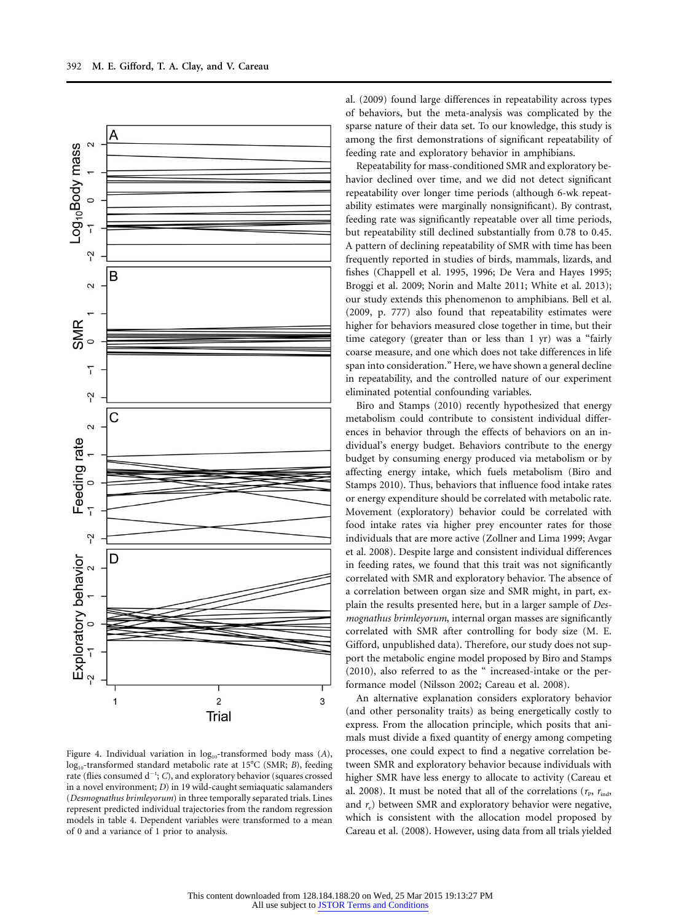

Figure 4. Individual variation in log<sub>10</sub>-transformed body mass (A), log<sub>10</sub>-transformed standard metabolic rate at 15°C (SMR; *B*), feeding rate (flies consumed d<sup>-1</sup>; C), and exploratory behavior (squares crossed in a novel environment; *D*) in 19 wild-caught semiaquatic salamanders (*Desmognathus brimleyorum*) in three temporally separated trials. Lines represent predicted individual trajectories from the random regression models in table 4. Dependent variables were transformed to a mean of 0 and a variance of 1 prior to analysis.

al. (2009) found large differences in repeatability across types of behaviors, but the meta-analysis was complicated by the sparse nature of their data set. To our knowledge, this study is among the first demonstrations of significant repeatability of feeding rate and exploratory behavior in amphibians.

Repeatability for mass-conditioned SMR and exploratory behavior declined over time, and we did not detect significant repeatability over longer time periods (although 6-wk repeatability estimates were marginally nonsignificant). By contrast, feeding rate was significantly repeatable over all time periods, but repeatability still declined substantially from 0.78 to 0.45. A pattern of declining repeatability of SMR with time has been frequently reported in studies of birds, mammals, lizards, and fishes (Chappell et al. 1995, 1996; De Vera and Hayes 1995; Broggi et al. 2009; Norin and Malte 2011; White et al. 2013); our study extends this phenomenon to amphibians. Bell et al. (2009, p. 777) also found that repeatability estimates were higher for behaviors measured close together in time, but their time category (greater than or less than 1 yr) was a "fairly coarse measure, and one which does not take differences in life span into consideration." Here, we have shown a general decline in repeatability, and the controlled nature of our experiment eliminated potential confounding variables.

Biro and Stamps (2010) recently hypothesized that energy metabolism could contribute to consistent individual differences in behavior through the effects of behaviors on an individual's energy budget. Behaviors contribute to the energy budget by consuming energy produced via metabolism or by affecting energy intake, which fuels metabolism (Biro and Stamps 2010). Thus, behaviors that influence food intake rates or energy expenditure should be correlated with metabolic rate. Movement (exploratory) behavior could be correlated with food intake rates via higher prey encounter rates for those individuals that are more active (Zollner and Lima 1999; Avgar et al. 2008). Despite large and consistent individual differences in feeding rates, we found that this trait was not significantly correlated with SMR and exploratory behavior. The absence of a correlation between organ size and SMR might, in part, explain the results presented here, but in a larger sample of *Desmognathus brimleyorum*, internal organ masses are significantly correlated with SMR after controlling for body size (M. E. Gifford, unpublished data). Therefore, our study does not support the metabolic engine model proposed by Biro and Stamps (2010), also referred to as the " increased-intake or the performance model (Nilsson 2002; Careau et al. 2008).

An alternative explanation considers exploratory behavior (and other personality traits) as being energetically costly to express. From the allocation principle, which posits that animals must divide a fixed quantity of energy among competing processes, one could expect to find a negative correlation between SMR and exploratory behavior because individuals with higher SMR have less energy to allocate to activity (Careau et al. 2008). It must be noted that all of the correlations ( $r_{\rm p}$ ,  $r_{\rm ind}$ , and  $r_e$ ) between SMR and exploratory behavior were negative, which is consistent with the allocation model proposed by Careau et al. (2008). However, using data from all trials yielded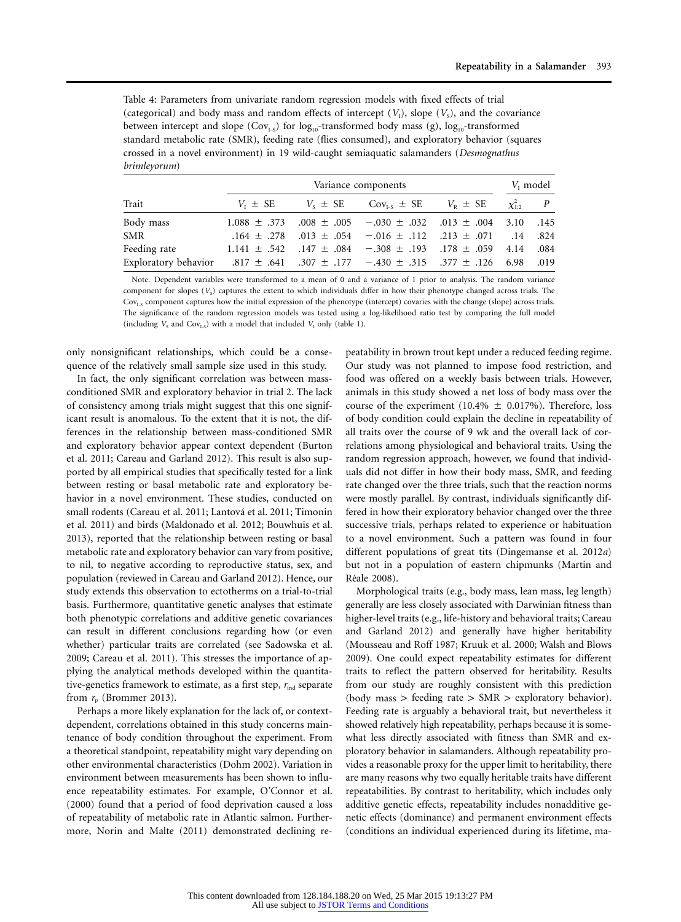Table 4: Parameters from univariate random regression models with fixed effects of trial (categorical) and body mass and random effects of intercept  $(V_1)$ , slope  $(V_5)$ , and the covariance between intercept and slope ( $Cov_{1-S}$ ) for log<sub>10</sub>-transformed body mass (g), log<sub>10</sub>-transformed standard metabolic rate (SMR), feeding rate (flies consumed), and exploratory behavior (squares crossed in a novel environment) in 19 wild-caught semiaquatic salamanders (*Desmognathus brimleyorum*)

|                                                                                                  |              | $V_{\rm I}$ model                                                           |  |                  |  |
|--------------------------------------------------------------------------------------------------|--------------|-----------------------------------------------------------------------------|--|------------------|--|
| Trait                                                                                            | $V_t \pm SE$ | $V_s \pm SE$ $Cov_{LS} \pm SE$ $V_p \pm SE$                                 |  | $\chi^2_{1:2}$ P |  |
| Body mass                                                                                        |              | $1.088 \pm .373$ $.008 \pm .005$ $-.030 \pm .032$ $.013 \pm .004$ 3.10 .145 |  |                  |  |
| <b>SMR</b>                                                                                       |              | .824. 14. 071. $\pm 0.013 \pm 0.054$ - 016 $\pm 0.112$ .112. 071. 14. 824   |  |                  |  |
| Feeding rate                                                                                     |              | 1.141 ± .542 .147 ± .084 - .308 ± .193 .178 ± .059 4.14 .084                |  |                  |  |
| Exploratory behavior $.817 \pm .641$ $.307 \pm .177$ $-.430 \pm .315$ $.377 \pm .126$ 6.98 0.019 |              |                                                                             |  |                  |  |

Note. Dependent variables were transformed to a mean of 0 and a variance of 1 prior to analysis. The random variance component for slopes  $(V<sub>s</sub>)$  captures the extent to which individuals differ in how their phenotype changed across trials. The Cov<sub>i-s</sub> component captures how the initial expression of the phenotype (intercept) covaries with the change (slope) across trials. The significance of the random regression models was tested using a log-likelihood ratio test by comparing the full model (including  $V_s$  and Cov<sub>I-S</sub>) with a model that included  $V_I$  only (table 1).

only nonsignificant relationships, which could be a consequence of the relatively small sample size used in this study.

In fact, the only significant correlation was between massconditioned SMR and exploratory behavior in trial 2. The lack of consistency among trials might suggest that this one significant result is anomalous. To the extent that it is not, the differences in the relationship between mass-conditioned SMR and exploratory behavior appear context dependent (Burton et al. 2011; Careau and Garland 2012). This result is also supported by all empirical studies that specifically tested for a link between resting or basal metabolic rate and exploratory behavior in a novel environment. These studies, conducted on small rodents (Careau et al. 2011; Lantová et al. 2011; Timonin et al. 2011) and birds (Maldonado et al. 2012; Bouwhuis et al. 2013), reported that the relationship between resting or basal metabolic rate and exploratory behavior can vary from positive, to nil, to negative according to reproductive status, sex, and population (reviewed in Careau and Garland 2012). Hence, our study extends this observation to ectotherms on a trial-to-trial basis. Furthermore, quantitative genetic analyses that estimate both phenotypic correlations and additive genetic covariances can result in different conclusions regarding how (or even whether) particular traits are correlated (see Sadowska et al. 2009; Careau et al. 2011). This stresses the importance of applying the analytical methods developed within the quantitative-genetics framework to estimate, as a first step,  $r_{ind}$  separate from  $r_{\rm p}$  (Brommer 2013).

Perhaps a more likely explanation for the lack of, or contextdependent, correlations obtained in this study concerns maintenance of body condition throughout the experiment. From a theoretical standpoint, repeatability might vary depending on other environmental characteristics (Dohm 2002). Variation in environment between measurements has been shown to influence repeatability estimates. For example, O'Connor et al. (2000) found that a period of food deprivation caused a loss of repeatability of metabolic rate in Atlantic salmon. Furthermore, Norin and Malte (2011) demonstrated declining repeatability in brown trout kept under a reduced feeding regime. Our study was not planned to impose food restriction, and food was offered on a weekly basis between trials. However, animals in this study showed a net loss of body mass over the course of the experiment (10.4%  $\pm$  0.017%). Therefore, loss of body condition could explain the decline in repeatability of all traits over the course of 9 wk and the overall lack of correlations among physiological and behavioral traits. Using the random regression approach, however, we found that individuals did not differ in how their body mass, SMR, and feeding rate changed over the three trials, such that the reaction norms were mostly parallel. By contrast, individuals significantly differed in how their exploratory behavior changed over the three successive trials, perhaps related to experience or habituation to a novel environment. Such a pattern was found in four different populations of great tits (Dingemanse et al. 2012*a*) but not in a population of eastern chipmunks (Martin and Réale 2008).

Morphological traits (e.g., body mass, lean mass, leg length) generally are less closely associated with Darwinian fitness than higher-level traits (e.g., life-history and behavioral traits; Careau and Garland 2012) and generally have higher heritability (Mousseau and Roff 1987; Kruuk et al. 2000; Walsh and Blows 2009). One could expect repeatability estimates for different traits to reflect the pattern observed for heritability. Results from our study are roughly consistent with this prediction (body mass  $>$  feeding rate  $>$  SMR  $>$  exploratory behavior). Feeding rate is arguably a behavioral trait, but nevertheless it showed relatively high repeatability, perhaps because it is somewhat less directly associated with fitness than SMR and exploratory behavior in salamanders. Although repeatability provides a reasonable proxy for the upper limit to heritability, there are many reasons why two equally heritable traits have different repeatabilities. By contrast to heritability, which includes only additive genetic effects, repeatability includes nonadditive genetic effects (dominance) and permanent environment effects (conditions an individual experienced during its lifetime, ma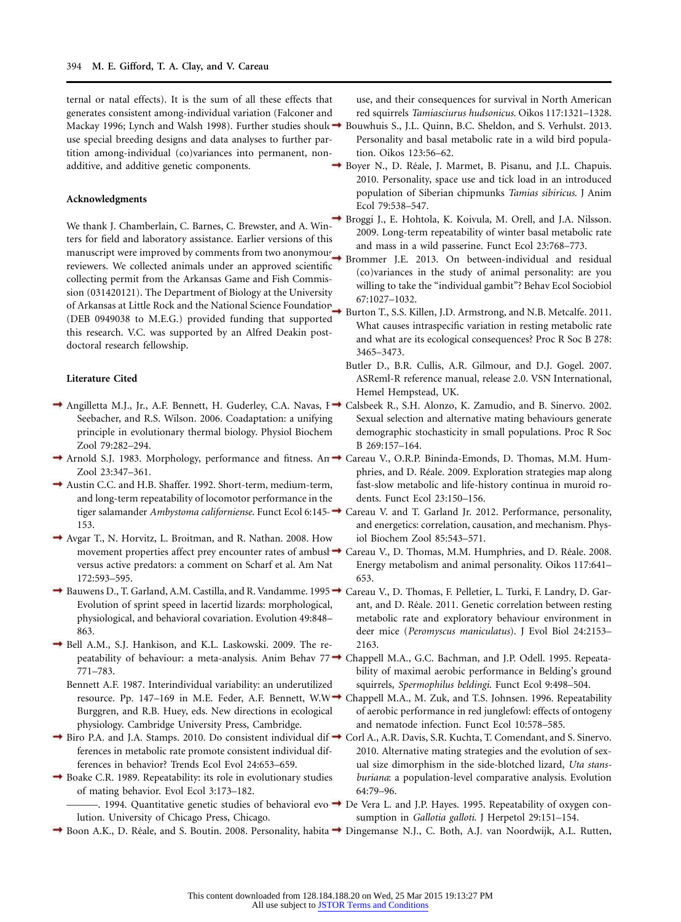ternal or natal effects). It is the sum of all these effects that generates consistent among-individual variation (Falconer and Mackay 1996; Lynch and Walsh 1998). Further studies should→ Bouwhuis S., J.L. Quinn, B.C. Sheldon, and S. Verhulst. 2013. use special breeding designs and data analyses to further partition among-individual (co)variances into permanent, nonadditive, and additive genetic components.

#### **Acknowledgments**

We thank J. Chamberlain, C. Barnes, C. Brewster, and A. Winters for field and laboratory assistance. Earlier versions of this and mass in a wild passerine. Funct Ecol 23:768–773.<br>
manuscript were improved by comments from two anonymous Brommer J.E. 2013. On hattusen individual, and ra reviewers. We collected animals under an approved scientific collecting permit from the Arkansas Game and Fish Commission (031420121). The Department of Biology at the University of Arkansas at Little Rock and the National Science Foundation (DEB 0949038 to M.E.G.) provided funding that supported this research. V.C. was supported by an Alfred Deakin postdoctoral research fellowship.

#### **Literature Cited**

- Angilletta M.J., Jr., A.F. Bennett, H. Guderley, C.A. Navas, F. Calsbeek R., S.H. Alonzo, K. Zamudio, and B. Sinervo. 2002. Seebacher, and R.S. Wilson. 2006. Coadaptation: a unifying principle in evolutionary thermal biology. Physiol Biochem Zool 79:282–294.
- Arnold S.J. 1983. Morphology, performance and fitness. An → Careau V., O.R.P. Bininda-Emonds, D. Thomas, M.M. Hum-Zool 23:347–361.
- Austin C.C. and H.B. Shaffer. 1992. Short-term, medium-term, and long-term repeatability of locomotor performance in the 153.
- Avgar T., N. Horvitz, L. Broitman, and R. Nathan. 2008. How movement properties affect prey encounter rates of ambush  $\rightarrow$ versus active predators: a comment on Scharf et al. Am Nat 172:593–595.
- Bauwens D., T. Garland, A.M. Castilla, and R. Vandamme. 1995 → Careau V., D. Thomas, F. Pelletier, L. Turki, F. Landry, D. Gar-Evolution of sprint speed in lacertid lizards: morphological, physiological, and behavioral covariation. Evolution 49:848– 863.
- Bell A.M., S.J. Hankison, and K.L. Laskowski. 2009. The re-771–783.
	- Bennett A.F. 1987. Interindividual variability: an underutilized Burggren, and R.B. Huey, eds. New directions in ecological physiology. Cambridge University Press, Cambridge.
- Biro P.A. and J.A. Stamps. 2010. Do consistent individual dif-Corl A., A.R. Davis, S.R. Kuchta, T. Comendant, and S. Sinervo. ferences in metabolic rate promote consistent individual differences in behavior? Trends Ecol Evol 24:653–659.
- Boake C.R. 1989. Repeatability: its role in evolutionary studies of mating behavior. Evol Ecol 3:173–182.

use, and their consequences for survival in North American red squirrels *Tamiasciurus hudsonicus*. Oikos 117:1321–1328.

- Personality and basal metabolic rate in a wild bird population. Oikos 123:56–62.
- $\rightarrow$  Boyer N., D. Réale, J. Marmet, B. Pisanu, and J.L. Chapuis. 2010. Personality, space use and tick load in an introduced population of Siberian chipmunks *Tamias sibiricus*. J Anim Ecol 79:538–547.
- Broggi J., E. Hohtola, K. Koivula, M. Orell, and J.A. Nilsson. 2009. Long-term repeatability of winter basal metabolic rate
	- Brommer J.E. 2013. On between-individual and residual (co)variances in the study of animal personality: are you willing to take the "individual gambit"? Behav Ecol Sociobiol 67:1027–1032.
- Burton T., S.S. Killen, J.D. Armstrong, and N.B. Metcalfe. 2011. What causes intraspecific variation in resting metabolic rate and what are its ecological consequences? Proc R Soc B 278: 3465–3473.
- Butler D., B.R. Cullis, A.R. Gilmour, and D.J. Gogel. 2007. ASReml-R reference manual, release 2.0. VSN International, Hemel Hempstead, UK.
- Sexual selection and alternative mating behaviours generate demographic stochasticity in small populations. Proc R Soc B 269:157–164.
- phries, and D. Réale. 2009. Exploration strategies map along fast-slow metabolic and life-history continua in muroid rodents. Funct Ecol 23:150–156.
- tiger salamander *Ambystoma californiense*. Funct Ecol 6:145– Careau V. and T. Garland Jr. 2012. Performance, personality, and energetics: correlation, causation, and mechanism. Physiol Biochem Zool 85:543–571.
	- Careau V., D. Thomas, M.M. Humphries, and D. Réale. 2008. Energy metabolism and animal personality. Oikos 117:641– 653.
	- ant, and D. Réale. 2011. Genetic correlation between resting metabolic rate and exploratory behaviour environment in deer mice (*Peromyscus maniculatus*). J Evol Biol 24:2153– 2163.
- peatability of behaviour: a meta-analysis. Anim Behav 77 → Chappell M.A., G.C. Bachman, and J.P. Odell. 1995. Repeatability of maximal aerobic performance in Belding's ground squirrels, *Spermophilus beldingi*. Funct Ecol 9:498–504.
- resource. Pp. 147–169 in M.E. Feder, A.F. Bennett, W.W. Chappell M.A., M. Zuk, and T.S. Johnsen. 1996. Repeatability of aerobic performance in red junglefowl: effects of ontogeny and nematode infection. Funct Ecol 10:578–585.
	- 2010. Alternative mating strategies and the evolution of sexual size dimorphism in the side-blotched lizard, *Uta stansburiana*: a population-level comparative analysis. Evolution 64:79–96.
- ———. 1994. Quantitative genetic studies of behavioral evo → De Vera L. and J.P. Hayes. 1995. Repeatability of oxygen conlution. University of Chicago Press, Chicago. sumption in *Gallotia galloti*. J Herpetol 29:151–154.
- Boon A.K., D. Réale, and S. Boutin. 2008. Personality, habita → Dingemanse N.J., C. Both, A.J. van Noordwijk, A.L. Rutten,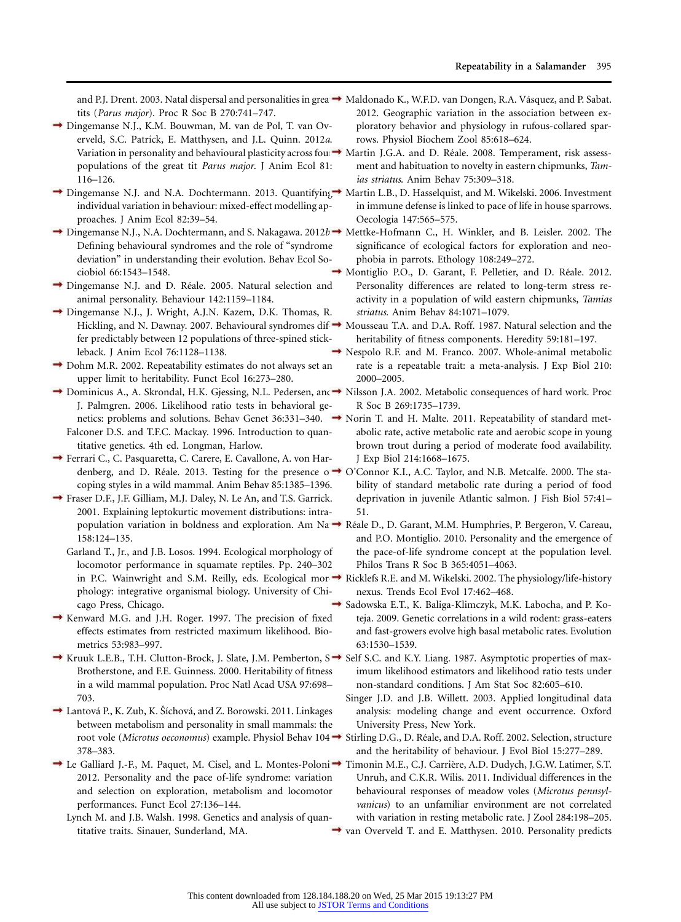tits (*Parus major*). Proc R Soc B 270:741–747.

- Dingemanse N.J., K.M. Bouwman, M. van de Pol, T. van Overveld, S.C. Patrick, E. Matthysen, and J.L. Quinn. 2012*a*. populations of the great tit *Parus major*. J Anim Ecol 81: 116–126.
- Dingemanse N.J. and N.A. Dochtermann. 2013. Quantifying Martin L.B., D. Hasselquist, and M. Wikelski. 2006. Investment individual variation in behaviour: mixed-effect modelling approaches. J Anim Ecol 82:39–54.
- Dingemanse N.J., N.A. Dochtermann, and S. Nakagawa. 2012*b*. Mettke-Hofmann C., H. Winkler, and B. Leisler. 2002. The Defining behavioural syndromes and the role of "syndrome deviation" in understanding their evolution. Behav Ecol Sociobiol 66:1543–1548.
- $\rightarrow$  Dingemanse N.J. and D. Réale. 2005. Natural selection and animal personality. Behaviour 142:1159–1184.
- Dingemanse N.J., J. Wright, A.J.N. Kazem, D.K. Thomas, R. fer predictably between 12 populations of three-spined stickleback. J Anim Ecol 76:1128–1138.
- Dohm M.R. 2002. Repeatability estimates do not always set an upper limit to heritability. Funct Ecol 16:273–280.
- → Dominicus A., A. Skrondal, H.K. Gjessing, N.L. Pedersen, and → J. Palmgren. 2006. Likelihood ratio tests in behavioral ge-Falconer D.S. and T.F.C. Mackay. 1996. Introduction to quantitative genetics. 4th ed. Longman, Harlow.
- Ferrari C., C. Pasquaretta, C. Carere, E. Cavallone, A. von Harcoping styles in a wild mammal. Anim Behav 85:1385–1396.
- Fraser D.F., J.F. Gilliam, M.J. Daley, N. Le An, and T.S. Garrick. 2001. Explaining leptokurtic movement distributions: intra-158:124–135.
	- Garland T., Jr., and J.B. Losos. 1994. Ecological morphology of locomotor performance in squamate reptiles. Pp. 240–302 phology: integrative organismal biology. University of Chicago Press, Chicago.
- Kenward M.G. and J.H. Roger. 1997. The precision of fixed effects estimates from restricted maximum likelihood. Biometrics 53:983–997.
- Kruuk L.E.B., T.H. Clutton-Brock, J. Slate, J.M. Pemberton, S → Self S.C. and K.Y. Liang. 1987. Asymptotic properties of max-Brotherstone, and F.E. Guinness. 2000. Heritability of fitness in a wild mammal population. Proc Natl Acad USA 97:698– 703.
- $\rightarrow$  Lantová P., K. Zub, K. Šíchová, and Z. Borowski. 2011. Linkages between metabolism and personality in small mammals: the 378–383.
- Le Galliard J.-F., M. Paquet, M. Cisel, and L. Montes-Poloni ➡ Timonin M.E., C.J. Carrière, A.D. Dudych, J.G.W. Latimer, S.T. 2012. Personality and the pace of-life syndrome: variation and selection on exploration, metabolism and locomotor performances. Funct Ecol 27:136–144.
	- Lynch M. and J.B. Walsh. 1998. Genetics and analysis of quantitative traits. Sinauer, Sunderland, MA.
- and P.J. Drent. 2003. Natal dispersal and personalities in grea → Maldonado K., W.F.D. van Dongen, R.A. Vásquez, and P. Sabat. 2012. Geographic variation in the association between exploratory behavior and physiology in rufous-collared sparrows. Physiol Biochem Zool 85:618–624.
- Variation in personality and behavioural plasticity across fou  $\rightarrow$  Martin J.G.A. and D. Réale. 2008. Temperament, risk assessment and habituation to novelty in eastern chipmunks, *Tamias striatus*. Anim Behav 75:309–318.
	- in immune defense is linked to pace of life in house sparrows. Oecologia 147:565–575.
	- significance of ecological factors for exploration and neophobia in parrots. Ethology 108:249–272.
	- $\rightarrow$  Montiglio P.O., D. Garant, F. Pelletier, and D. Réale. 2012. Personality differences are related to long-term stress reactivity in a population of wild eastern chipmunks, *Tamias striatus*. Anim Behav 84:1071–1079.
- Hickling, and N. Dawnay. 2007. Behavioural syndromes dif-Mousseau T.A. and D.A. Roff. 1987. Natural selection and the heritability of fitness components. Heredity 59:181-197.
	- Nespolo R.F. and M. Franco. 2007. Whole-animal metabolic rate is a repeatable trait: a meta-analysis. J Exp Biol 210: 2000–2005.
	- Nilsson J.A. 2002. Metabolic consequences of hard work. Proc R Soc B 269:1735–1739.
- netics: problems and solutions. Behav Genet 36:331–340. Norin T. and H. Malte. 2011. Repeatability of standard metabolic rate, active metabolic rate and aerobic scope in young brown trout during a period of moderate food availability. J Exp Biol 214:1668–1675.
- denberg, and D. Réale. 2013. Testing for the presence o → O'Connor K.I., A.C. Taylor, and N.B. Metcalfe. 2000. The stability of standard metabolic rate during a period of food deprivation in juvenile Atlantic salmon. J Fish Biol 57:41– 51.
- population variation in boldness and exploration. Am Na → Réale D., D. Garant, M.M. Humphries, P. Bergeron, V. Careau, and P.O. Montiglio. 2010. Personality and the emergence of the pace-of-life syndrome concept at the population level. Philos Trans R Soc B 365:4051–4063.
- in P.C. Wainwright and S.M. Reilly, eds. Ecological mor → Ricklefs R.E. and M. Wikelski. 2002. The physiology/life-history nexus. Trends Ecol Evol 17:462–468.
	- Sadowska E.T., K. Baliga-Klimczyk, M.K. Labocha, and P. Koteja. 2009. Genetic correlations in a wild rodent: grass-eaters and fast-growers evolve high basal metabolic rates. Evolution 63:1530–1539.
		- imum likelihood estimators and likelihood ratio tests under non-standard conditions. J Am Stat Soc 82:605–610.
		- Singer J.D. and J.B. Willett. 2003. Applied longitudinal data analysis: modeling change and event occurrence. Oxford University Press, New York.
- root vole (*Microtus oeconomus*) example. Physiol Behav 104  $\rightarrow$  Stirling D.G., D. Réale, and D.A. Roff. 2002. Selection, structure and the heritability of behaviour. J Evol Biol 15:277–289.

Unruh, and C.K.R. Wilis. 2011. Individual differences in the behavioural responses of meadow voles (*Microtus pennsylvanicus*) to an unfamiliar environment are not correlated with variation in resting metabolic rate. J Zool 284:198–205.

van Overveld T. and E. Matthysen. 2010. Personality predicts